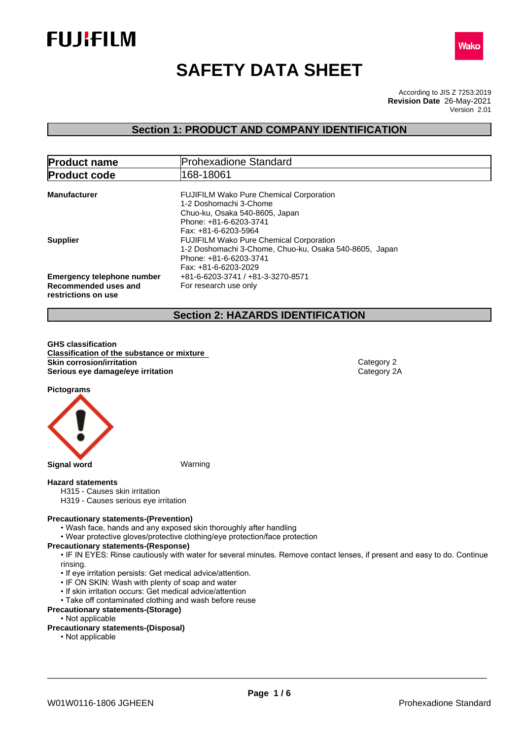



# **SAFETY DATA SHEET**

According to JIS Z 7253:2019 Version 2.01 **Revision Date** 26-May-2021

## **Section 1: PRODUCT AND COMPANY IDENTIFICATION**

| <b>Product name</b>                                                              | Prohexadione Standard<br>168-18061                                                                                                                           |  |  |
|----------------------------------------------------------------------------------|--------------------------------------------------------------------------------------------------------------------------------------------------------------|--|--|
| <b>Product code</b>                                                              |                                                                                                                                                              |  |  |
| <b>Manufacturer</b>                                                              | <b>FUJIFILM Wako Pure Chemical Corporation</b><br>1-2 Doshomachi 3-Chome<br>Chuo-ku, Osaka 540-8605, Japan<br>Phone: +81-6-6203-3741<br>Fax: +81-6-6203-5964 |  |  |
| <b>Supplier</b>                                                                  | <b>FUJIFILM Wako Pure Chemical Corporation</b><br>1-2 Doshomachi 3-Chome, Chuo-ku, Osaka 540-8605, Japan<br>Phone: +81-6-6203-3741<br>Fax: +81-6-6203-2029   |  |  |
| <b>Emergency telephone number</b><br>Recommended uses and<br>restrictions on use | +81-6-6203-3741 / +81-3-3270-8571<br>For research use only                                                                                                   |  |  |

## **Section 2: HAZARDS IDENTIFICATION**

**GHS classification Classification of the substance or mixture Skin corrosion/irritation** Category 2 **Serious eye damage/eye irritation** Category 2A

**Pictograms**



#### **Hazard statements**

- H315 Causes skin irritation
- H319 Causes serious eye irritation

#### **Precautionary statements-(Prevention)**

- Wash face, hands and any exposed skin thoroughly after handling
- Wear protective gloves/protective clothing/eye protection/face protection

## **Precautionary statements-(Response)**

• IF IN EYES: Rinse cautiously with water for several minutes. Remove contact lenses, if present and easy to do. Continue rinsing.

- If eye irritation persists: Get medical advice/attention.
- IF ON SKIN: Wash with plenty of soap and water
- If skin irritation occurs: Get medical advice/attention
- Take off contaminated clothing and wash before reuse

## **Precautionary statements-(Storage)**

• Not applicable

## **Precautionary statements-(Disposal)**

• Not applicable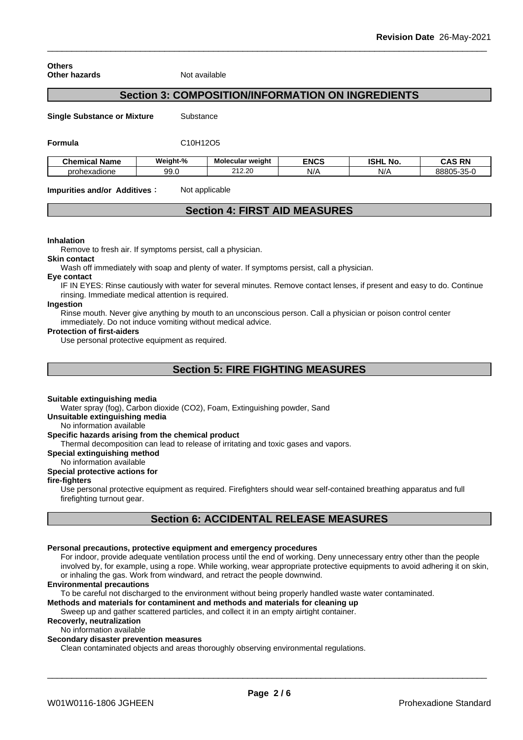#### **Others Other hazards** Not available

## **Section 3: COMPOSITION/INFORMATION ON INGREDIENTS**

**Single Substance or Mixture** Substance

**Formula** C10H12O5

| 212.20<br>N/A<br>N/A<br>99.0<br>$\sim$ $\sim$<br>88805-<br>prohexadione<br>.<br>`∙~<br>ູນ | <b>Chemical Name</b> | Weight-% | Molecular weight | <b>ENCS</b> | ISHL<br>. .<br>.No. | <b>CAS RN</b> |
|-------------------------------------------------------------------------------------------|----------------------|----------|------------------|-------------|---------------------|---------------|
|                                                                                           |                      |          |                  |             |                     |               |

**Impurities and/or Additives:** Not applicable

## **Section 4: FIRST AID MEASURES**

#### **Inhalation**

Remove to fresh air. If symptoms persist, call a physician.

**Skin contact**

Wash off immediately with soap and plenty of water. If symptoms persist, call a physician.

#### **Eye contact**

IF IN EYES: Rinse cautiously with water for several minutes. Remove contact lenses, if present and easy to do. Continue rinsing. Immediate medical attention is required.

## **Ingestion**

Rinse mouth. Never give anything by mouth to an unconscious person. Call a physician or poison control center immediately. Do not induce vomiting without medical advice.

#### **Protection of first-aiders**

Use personal protective equipment as required.

## **Section 5: FIRE FIGHTING MEASURES**

#### **Suitable extinguishing media**

Water spray (fog), Carbon dioxide (CO2), Foam, Extinguishing powder, Sand

**Unsuitable extinguishing media**

#### No information available

## **Specific hazards arising from the chemical product**

Thermal decomposition can lead to release of irritating and toxic gases and vapors.

#### **Special extinguishing method**

No information available

## **Special protective actions for**

## **fire-fighters**

Use personal protective equipment as required.Firefighters should wear self-contained breathing apparatus and full firefighting turnout gear.

## **Section 6: ACCIDENTAL RELEASE MEASURES**

## **Personal precautions, protective equipment and emergency procedures**

For indoor, provide adequate ventilation process until the end of working. Deny unnecessary entry other than the people involved by, for example, using a rope. While working, wear appropriate protective equipments to avoid adhering it on skin, or inhaling the gas. Work from windward, and retract the people downwind.

#### **Environmental precautions**

To be careful not discharged to the environment without being properly handled waste water contaminated.

## **Methods and materials for contaminent and methods and materials for cleaning up**

Sweep up and gather scattered particles, and collect it in an empty airtight container.

## **Recoverly, neutralization**

## No information available

**Secondary disaster prevention measures**

Clean contaminated objects and areas thoroughly observing environmental regulations.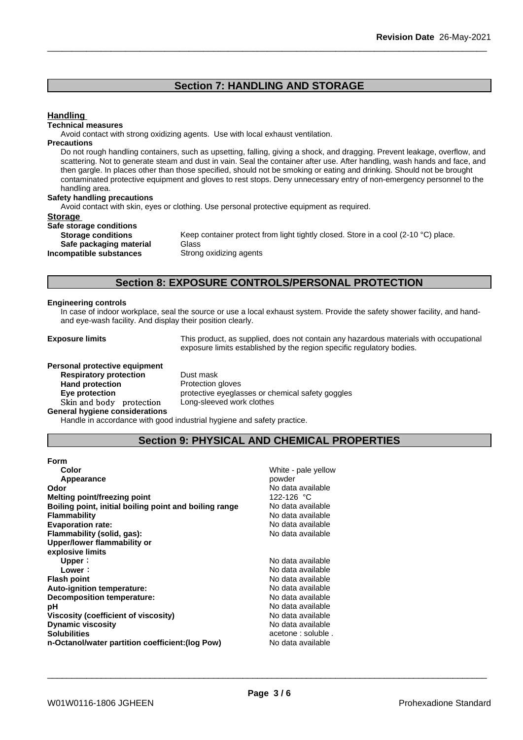## **Section 7: HANDLING AND STORAGE**

## **Handling**

#### **Technical measures**

Avoid contact with strong oxidizing agents. Use with local exhaust ventilation.

#### **Precautions**

Do not rough handling containers, such as upsetting, falling, giving a shock, and dragging. Prevent leakage, overflow, and scattering. Not to generate steam and dust in vain. Seal the container after use. After handling, wash hands and face, and then gargle. In places other than those specified, should not be smoking or eating and drinking. Should not be brought contaminated protective equipment and gloves to rest stops. Deny unnecessary entry of non-emergency personnel to the handling area.

#### **Safety handling precautions**

Avoid contact with skin, eyes or clothing. Use personal protective equipment as required.

#### **Storage**

| Safe storage conditions   |             |
|---------------------------|-------------|
| <b>Storage conditions</b> | Keep conta  |
| Safe packaging material   | Glass       |
| Incompatible substances   | Strong oxid |

Keep container protect from light tightly closed. Store in a cool (2-10 °C) place. **Safe packaging material** Glass **Strong oxidizing agents** 

## **Section 8: EXPOSURE CONTROLS/PERSONAL PROTECTION**

#### **Engineering controls**

In case of indoor workplace, seal the source or use a local exhaust system. Provide the safety shower facility, and handand eye-wash facility. And display their position clearly.

**Exposure limits** This product, as supplied, does not contain any hazardous materials with occupational exposure limits established by the region specific regulatory bodies.

#### **Personal protective equipment**

**Respiratory protection** Dust mask **Hand protection**<br> **Eye protection**<br> **Eye protection**<br> **Exercise Protective eveglas** Skin and body protection Long-sleeved work clothes **General hygiene considerations**

**Eye protection** protective eyeglasses or chemical safety goggles

Handle in accordance with good industrial hygiene and safety practice.

## **Section 9: PHYSICAL AND CHEMICAL PROPERTIES**

**Color** White - pale yellow

| Color                                                  | White - pale yellow |
|--------------------------------------------------------|---------------------|
| Appearance                                             | powder              |
| Odor                                                   | No data available   |
| Melting point/freezing point                           | 122-126 °C          |
| Boiling point, initial boiling point and boiling range | No data available   |
| Flammabilitv                                           | No data available   |
| <b>Evaporation rate:</b>                               | No data available   |

**Form**

| Melting point/freezing point                           | 122-126 °C         |
|--------------------------------------------------------|--------------------|
| Boiling point, initial boiling point and boiling range | No data available  |
| Flammability                                           | No data available  |
| <b>Evaporation rate:</b>                               | No data available  |
| Flammability (solid, gas):                             | No data available  |
| Upper/lower flammability or                            |                    |
| explosive limits                                       |                    |
| Upper:                                                 | No data available  |
| Lower:                                                 | No data available  |
| <b>Flash point</b>                                     | No data available  |
| Auto-ignition temperature:                             | No data available  |
| Decomposition temperature:                             | No data available  |
| рH                                                     | No data available  |
| Viscosity (coefficient of viscosity)                   | No data available  |
| <b>Dynamic viscosity</b>                               | No data available  |
| <b>Solubilities</b>                                    | acetone : soluble. |
| n-Octanol/water partition coefficient: (log Pow)       | No data available  |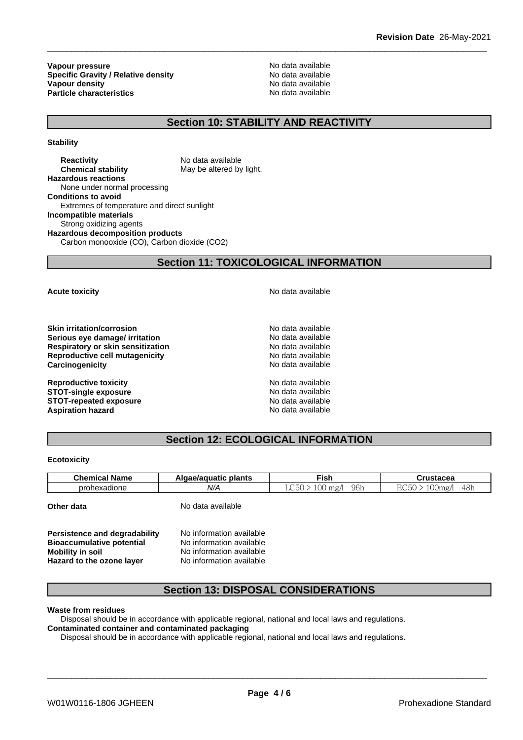**Vapour pressure**<br> **Specific Gravity / Relative density**<br> **Specific Gravity / Relative density**<br> **No data available Specific Gravity / Relative density and the Specific Gravity / Relative density No data available Vapour density Vapour density Particle characteristics** No data available

## **Section 10: STABILITY AND REACTIVITY**

**Stability**

**Reactivity** No data available **Chemical stability** May be altered by light. **Hazardous reactions** None under normal processing **Conditions to avoid** Extremes of temperature and direct sunlight **Incompatible materials** Strong oxidizing agents **Hazardous decomposition products** Carbon monooxide (CO), Carbon dioxide (CO2)

## **Section 11: TOXICOLOGICAL INFORMATION**

**Skin irritation/corrosion** No data available **Serious eye damage/ irritation No data available Respiratory or skin sensitization**<br> **Reproductive cell mutagenicity**<br> **Reproductive cell mutagenicity**<br> **No data available Reproductive cell mutagenicity Carcinogenicity Carcinogenicity No data available** 

**Reproductive toxicity No data available** No data available **STOT-single exposure**  $\qquad \qquad \text{No data available}$ **STOT-repeated exposure**<br> **Aspiration hazard**<br> **Aspiration hazard**<br> **Aspiration hazard Aspiration hazard** 

**Acute toxicity Acute toxicity Acute has available No data available** 

## **Section 12: ECOLOGICAL INFORMATION**

**Ecotoxicity**

| <b>Chemical Name</b> | Algae/aguatic plants | Fish                     | Crustacea                    |
|----------------------|----------------------|--------------------------|------------------------------|
| prohexadione         | N/A                  | 96h<br>. USU<br>100 mg/l | 48h<br>$100$ mg/<br>$h^{-1}$ |
| Other data           | No data available    |                          |                              |

| Persistence and degradability    | No information available |  |
|----------------------------------|--------------------------|--|
| <b>Bioaccumulative potential</b> | No information available |  |
| <b>Mobility in soil</b>          | No information available |  |
| Hazard to the ozone layer        | No information available |  |

## **Section 13: DISPOSAL CONSIDERATIONS**

**Waste from residues**

Disposal should be in accordance with applicable regional, national and local laws and regulations. **Contaminated container and contaminated packaging**

Disposal should be in accordance with applicable regional, national and local laws and regulations.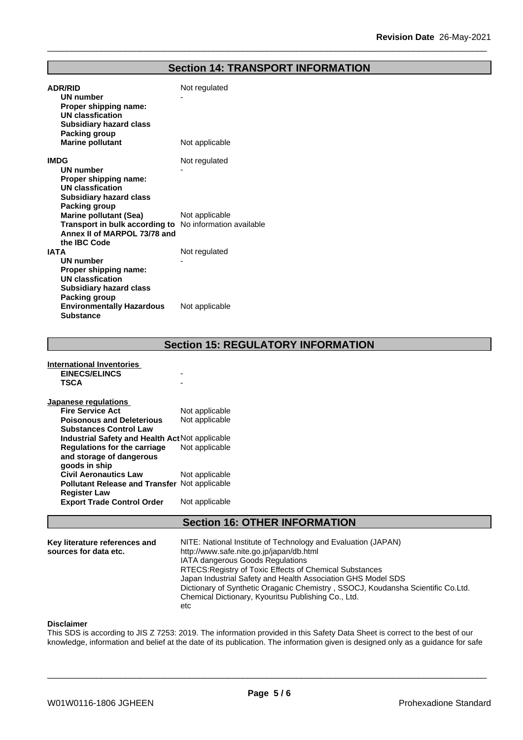## **Section 14: TRANSPORT INFORMATION**

| <b>ADR/RID</b><br><b>UN number</b><br>Proper shipping name:<br><b>UN classfication</b><br><b>Subsidiary hazard class</b><br>Packing group                                               | Not regulated                   |
|-----------------------------------------------------------------------------------------------------------------------------------------------------------------------------------------|---------------------------------|
| <b>Marine pollutant</b>                                                                                                                                                                 | Not applicable                  |
| <b>IMDG</b><br>UN number<br>Proper shipping name:<br><b>UN classfication</b><br><b>Subsidiary hazard class</b><br>Packing group<br><b>Marine pollutant (Sea)</b>                        | Not regulated<br>Not applicable |
| <b>Transport in bulk according to</b> No information available<br>Annex II of MARPOL 73/78 and<br>the IBC Code                                                                          |                                 |
| <b>IATA</b><br>UN number<br>Proper shipping name:<br><b>UN classfication</b><br><b>Subsidiary hazard class</b><br>Packing group<br><b>Environmentally Hazardous</b><br><b>Substance</b> | Not regulated<br>Not applicable |

**Section 15: REGULATORY INFORMATION**

#### **International Inventories EINECS/ELINCS TSCA** -

| <b>Japanese regulations</b>                          |                |
|------------------------------------------------------|----------------|
| <b>Fire Service Act</b>                              | Not applicable |
| <b>Poisonous and Deleterious</b>                     | Not applicable |
| <b>Substances Control Law</b>                        |                |
| Industrial Safety and Health Act Not applicable      |                |
| Regulations for the carriage                         | Not applicable |
| and storage of dangerous                             |                |
| goods in ship                                        |                |
| <b>Civil Aeronautics Law</b>                         | Not applicable |
| <b>Pollutant Release and Transfer Not applicable</b> |                |
| <b>Register Law</b>                                  |                |
| <b>Export Trade Control Order</b>                    | Not applicable |
|                                                      |                |

## **Section 16: OTHER INFORMATION**

| Key literature references and<br>sources for data etc. | NITE: National Institute of Technology and Evaluation (JAPAN)<br>http://www.safe.nite.go.jp/japan/db.html<br><b>IATA dangerous Goods Regulations</b><br>RTECS: Registry of Toxic Effects of Chemical Substances<br>Japan Industrial Safety and Health Association GHS Model SDS<br>Dictionary of Synthetic Oraganic Chemistry, SSOCJ, Koudansha Scientific Co.Ltd. |  |
|--------------------------------------------------------|--------------------------------------------------------------------------------------------------------------------------------------------------------------------------------------------------------------------------------------------------------------------------------------------------------------------------------------------------------------------|--|
|                                                        | Chemical Dictionary, Kyouritsu Publishing Co., Ltd.<br>etc                                                                                                                                                                                                                                                                                                         |  |

#### **Disclaimer**

This SDS is according to JIS Z 7253: 2019. The information provided in this Safety Data Sheet is correct to the best of our knowledge, information and belief at the date of its publication. The information given is designed only as a guidance for safe